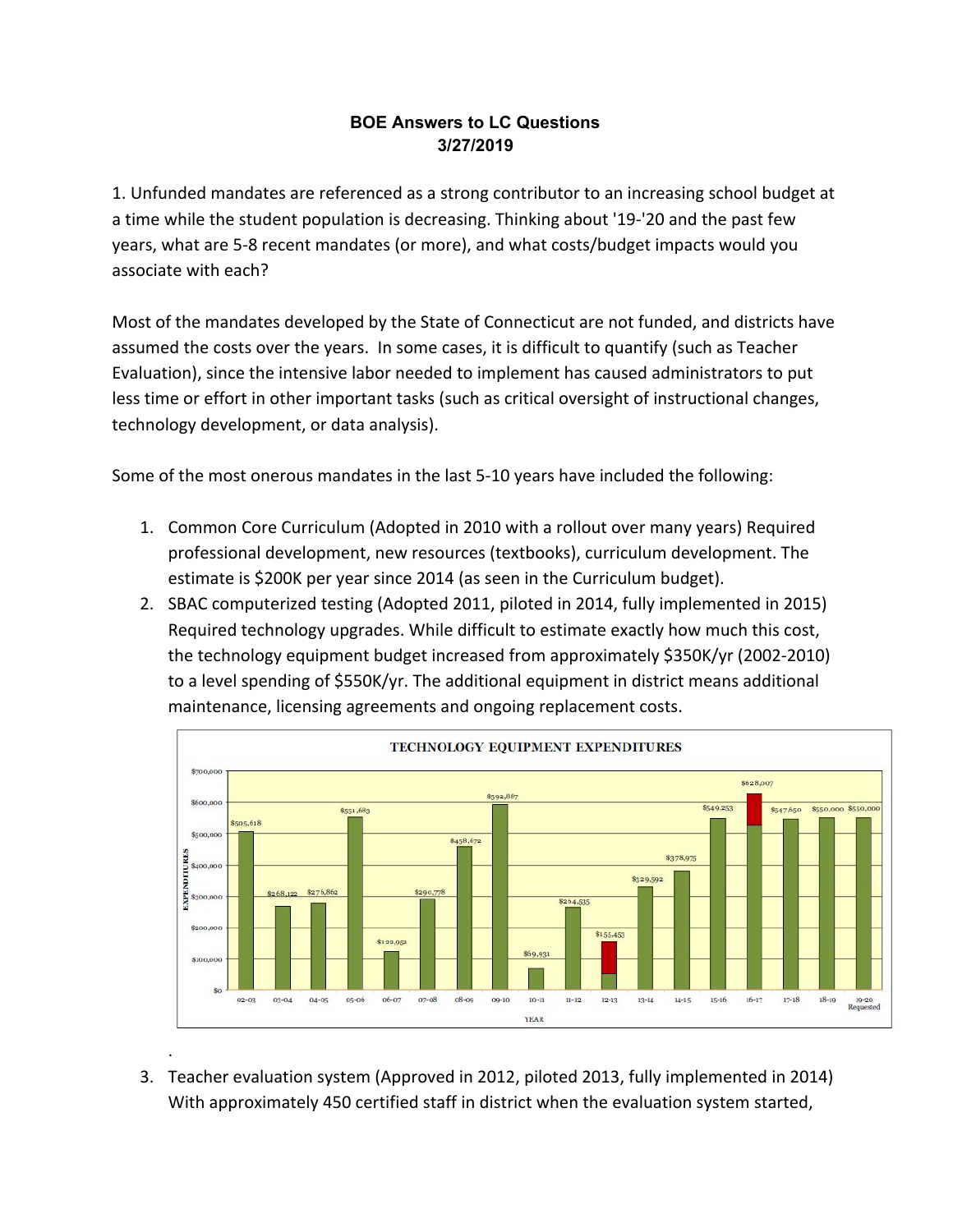### **BOE Answers to LC Questions 3/27/2019**

1. Unfunded mandates are referenced as a strong contributor to an increasing school budget at a time while the student population is decreasing. Thinking about '19-'20 and the past few years, what are 5-8 recent mandates (or more), and what costs/budget impacts would you associate with each?

Most of the mandates developed by the State of Connecticut are not funded, and districts have assumed the costs over the years. In some cases, it is difficult to quantify (such as Teacher Evaluation), since the intensive labor needed to implement has caused administrators to put less time or effort in other important tasks (such as critical oversight of instructional changes, technology development, or data analysis).

Some of the most onerous mandates in the last 5-10 years have included the following:

- 1. Common Core Curriculum (Adopted in 2010 with a rollout over many years) Required professional development, new resources (textbooks), curriculum development. The estimate is \$200K per year since 2014 (as seen in the Curriculum budget).
- 2. SBAC computerized testing (Adopted 2011, piloted in 2014, fully implemented in 2015) Required technology upgrades. While difficult to estimate exactly how much this cost, the technology equipment budget increased from approximately \$350K/yr (2002-2010) to a level spending of \$550K/yr. The additional equipment in district means additional maintenance, licensing agreements and ongoing replacement costs.



3. Teacher evaluation system (Approved in 2012, piloted 2013, fully implemented in 2014) With approximately 450 certified staff in district when the evaluation system started,

.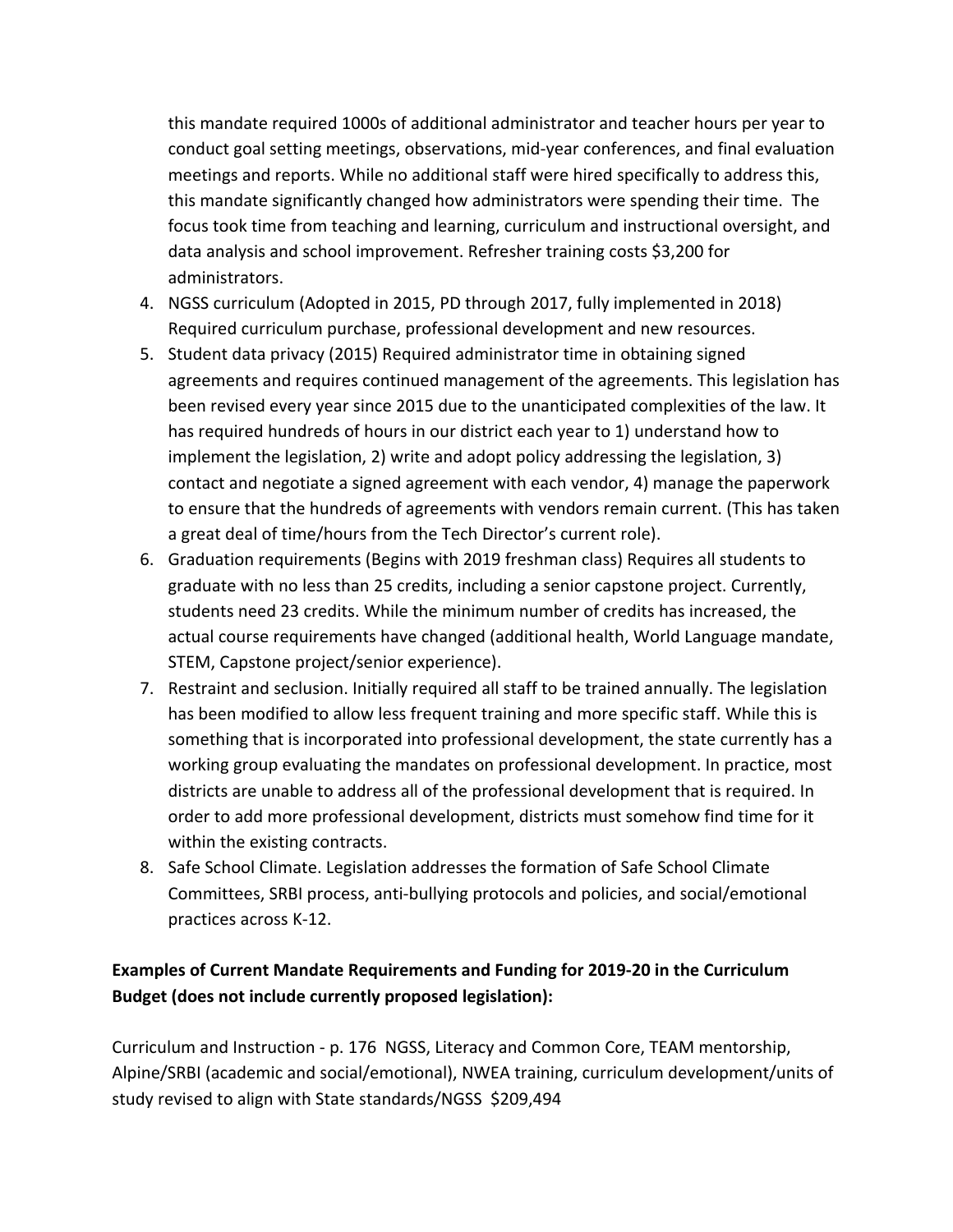this mandate required 1000s of additional administrator and teacher hours per year to conduct goal setting meetings, observations, mid-year conferences, and final evaluation meetings and reports. While no additional staff were hired specifically to address this, this mandate significantly changed how administrators were spending their time. The focus took time from teaching and learning, curriculum and instructional oversight, and data analysis and school improvement. Refresher training costs \$3,200 for administrators.

- 4. NGSS curriculum (Adopted in 2015, PD through 2017, fully implemented in 2018) Required curriculum purchase, professional development and new resources.
- 5. Student data privacy (2015) Required administrator time in obtaining signed agreements and requires continued management of the agreements. This legislation has been revised every year since 2015 due to the unanticipated complexities of the law. It has required hundreds of hours in our district each year to 1) understand how to implement the legislation, 2) write and adopt policy addressing the legislation, 3) contact and negotiate a signed agreement with each vendor, 4) manage the paperwork to ensure that the hundreds of agreements with vendors remain current. (This has taken a great deal of time/hours from the Tech Director's current role).
- 6. Graduation requirements (Begins with 2019 freshman class) Requires all students to graduate with no less than 25 credits, including a senior capstone project. Currently, students need 23 credits. While the minimum number of credits has increased, the actual course requirements have changed (additional health, World Language mandate, STEM, Capstone project/senior experience).
- 7. Restraint and seclusion. Initially required all staff to be trained annually. The legislation has been modified to allow less frequent training and more specific staff. While this is something that is incorporated into professional development, the state currently has a working group evaluating the mandates on professional development. In practice, most districts are unable to address all of the professional development that is required. In order to add more professional development, districts must somehow find time for it within the existing contracts.
- 8. Safe School Climate. Legislation addresses the formation of Safe School Climate Committees, SRBI process, anti-bullying protocols and policies, and social/emotional practices across K-12.

# **Examples of Current Mandate Requirements and Funding for 2019-20 in the Curriculum Budget (does not include currently proposed legislation):**

Curriculum and Instruction - p. 176 NGSS, Literacy and Common Core, TEAM mentorship, Alpine/SRBI (academic and social/emotional), NWEA training, curriculum development/units of study revised to align with State standards/NGSS \$209,494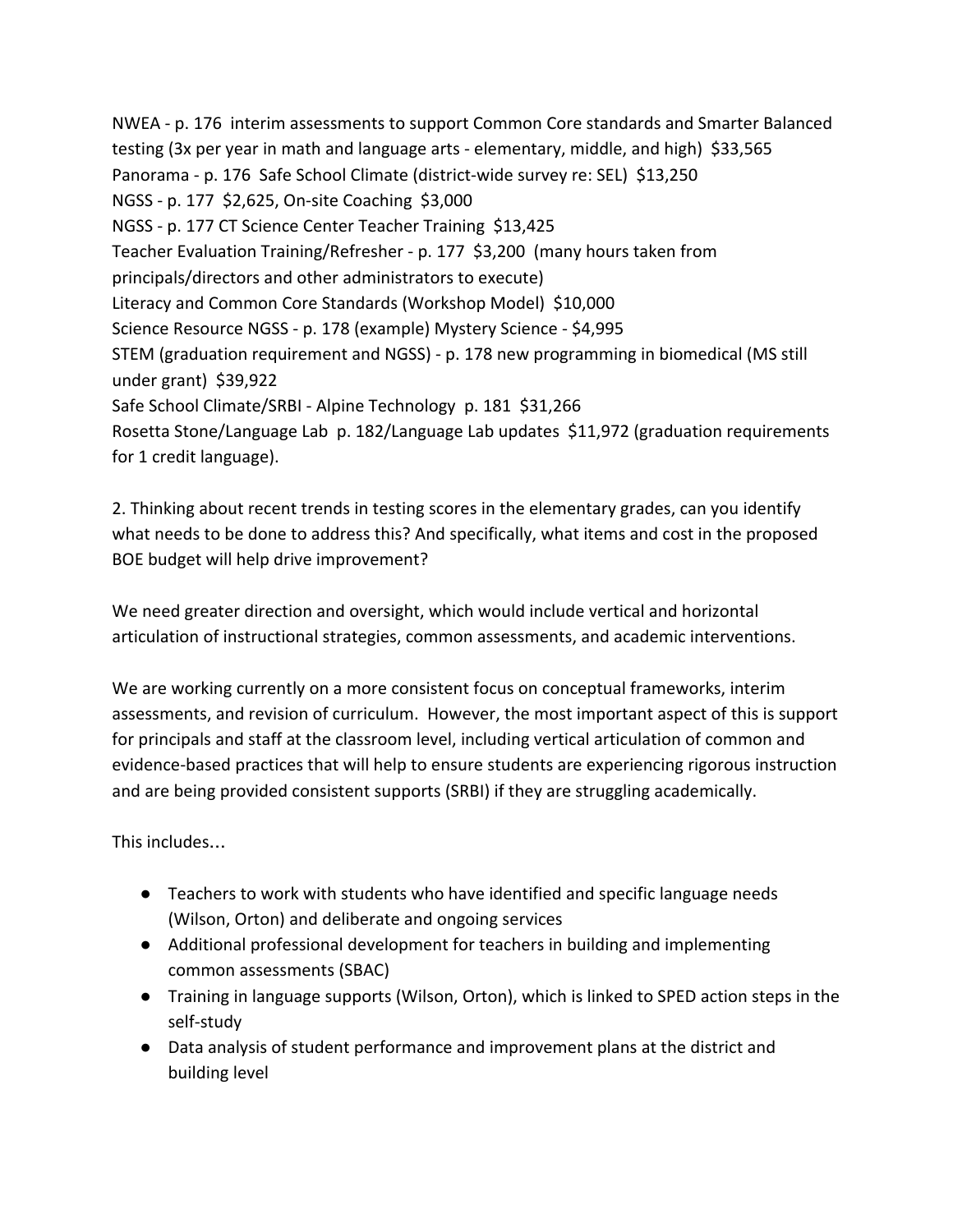NWEA - p. 176 interim assessments to support Common Core standards and Smarter Balanced testing (3x per year in math and language arts - elementary, middle, and high) \$33,565 Panorama - p. 176 Safe School Climate (district-wide survey re: SEL) \$13,250 NGSS - p. 177 \$2,625, On-site Coaching \$3,000 NGSS - p. 177 CT Science Center Teacher Training \$13,425 Teacher Evaluation Training/Refresher - p. 177 \$3,200 (many hours taken from principals/directors and other administrators to execute) Literacy and Common Core Standards (Workshop Model) \$10,000 Science Resource NGSS - p. 178 (example) Mystery Science - \$4,995 STEM (graduation requirement and NGSS) - p. 178 new programming in biomedical (MS still under grant) \$39,922 Safe School Climate/SRBI - Alpine Technology p. 181 \$31,266 Rosetta Stone/Language Lab p. 182/Language Lab updates \$11,972 (graduation requirements for 1 credit language).

2. Thinking about recent trends in testing scores in the elementary grades, can you identify what needs to be done to address this? And specifically, what items and cost in the proposed BOE budget will help drive improvement?

We need greater direction and oversight, which would include vertical and horizontal articulation of instructional strategies, common assessments, and academic interventions.

We are working currently on a more consistent focus on conceptual frameworks, interim assessments, and revision of curriculum. However, the most important aspect of this is support for principals and staff at the classroom level, including vertical articulation of common and evidence-based practices that will help to ensure students are experiencing rigorous instruction and are being provided consistent supports (SRBI) if they are struggling academically.

This includes…

- Teachers to work with students who have identified and specific language needs (Wilson, Orton) and deliberate and ongoing services
- Additional professional development for teachers in building and implementing common assessments (SBAC)
- Training in language supports (Wilson, Orton), which is linked to SPED action steps in the self-study
- Data analysis of student performance and improvement plans at the district and building level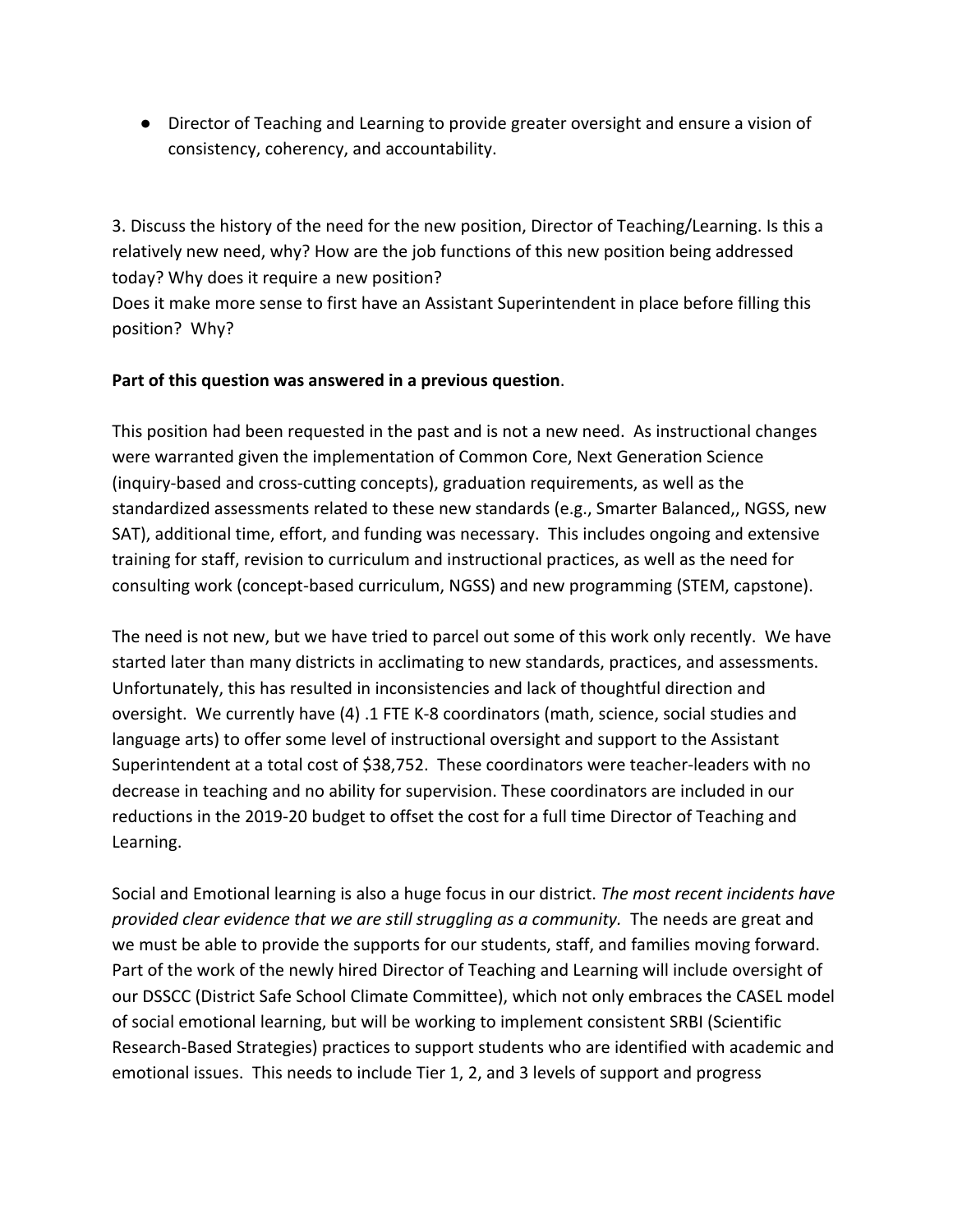● Director of Teaching and Learning to provide greater oversight and ensure a vision of consistency, coherency, and accountability.

3. Discuss the history of the need for the new position, Director of Teaching/Learning. Is this a relatively new need, why? How are the job functions of this new position being addressed today? Why does it require a new position?

Does it make more sense to first have an Assistant Superintendent in place before filling this position? Why?

### **Part of this question was answered in a previous question**.

This position had been requested in the past and is not a new need. As instructional changes were warranted given the implementation of Common Core, Next Generation Science (inquiry-based and cross-cutting concepts), graduation requirements, as well as the standardized assessments related to these new standards (e.g., Smarter Balanced,, NGSS, new SAT), additional time, effort, and funding was necessary. This includes ongoing and extensive training for staff, revision to curriculum and instructional practices, as well as the need for consulting work (concept-based curriculum, NGSS) and new programming (STEM, capstone).

The need is not new, but we have tried to parcel out some of this work only recently. We have started later than many districts in acclimating to new standards, practices, and assessments. Unfortunately, this has resulted in inconsistencies and lack of thoughtful direction and oversight. We currently have (4) .1 FTE K-8 coordinators (math, science, social studies and language arts) to offer some level of instructional oversight and support to the Assistant Superintendent at a total cost of \$38,752. These coordinators were teacher-leaders with no decrease in teaching and no ability for supervision. These coordinators are included in our reductions in the 2019-20 budget to offset the cost for a full time Director of Teaching and Learning.

Social and Emotional learning is also a huge focus in our district. *The most recent incidents have provided clear evidence that we are still struggling as a community.* The needs are great and we must be able to provide the supports for our students, staff, and families moving forward. Part of the work of the newly hired Director of Teaching and Learning will include oversight of our DSSCC (District Safe School Climate Committee), which not only embraces the CASEL model of social emotional learning, but will be working to implement consistent SRBI (Scientific Research-Based Strategies) practices to support students who are identified with academic and emotional issues. This needs to include Tier 1, 2, and 3 levels of support and progress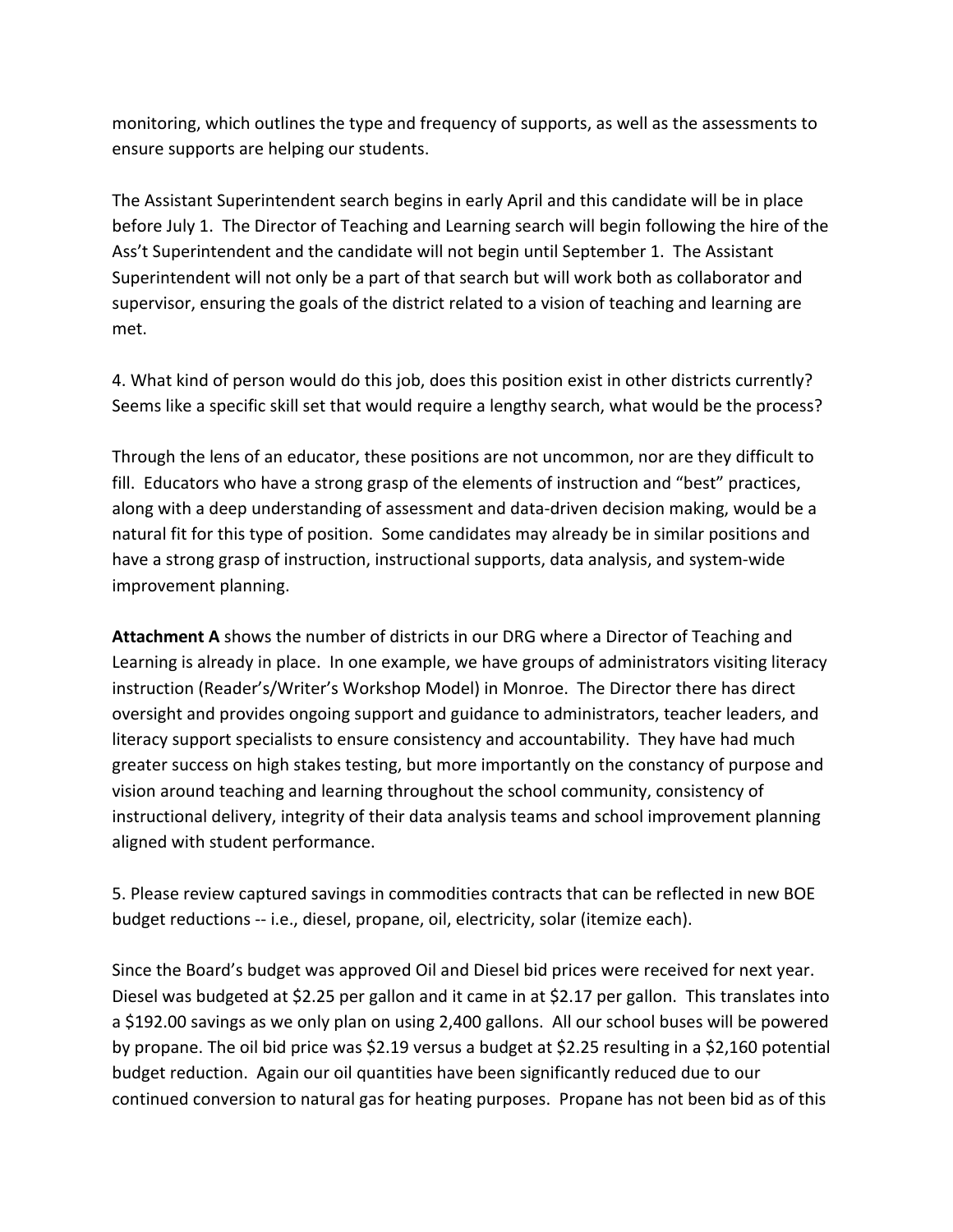monitoring, which outlines the type and frequency of supports, as well as the assessments to ensure supports are helping our students.

The Assistant Superintendent search begins in early April and this candidate will be in place before July 1. The Director of Teaching and Learning search will begin following the hire of the Ass't Superintendent and the candidate will not begin until September 1. The Assistant Superintendent will not only be a part of that search but will work both as collaborator and supervisor, ensuring the goals of the district related to a vision of teaching and learning are met.

4. What kind of person would do this job, does this position exist in other districts currently? Seems like a specific skill set that would require a lengthy search, what would be the process?

Through the lens of an educator, these positions are not uncommon, nor are they difficult to fill. Educators who have a strong grasp of the elements of instruction and "best" practices, along with a deep understanding of assessment and data-driven decision making, would be a natural fit for this type of position. Some candidates may already be in similar positions and have a strong grasp of instruction, instructional supports, data analysis, and system-wide improvement planning.

**Attachment A** shows the number of districts in our DRG where a Director of Teaching and Learning is already in place. In one example, we have groups of administrators visiting literacy instruction (Reader's/Writer's Workshop Model) in Monroe. The Director there has direct oversight and provides ongoing support and guidance to administrators, teacher leaders, and literacy support specialists to ensure consistency and accountability. They have had much greater success on high stakes testing, but more importantly on the constancy of purpose and vision around teaching and learning throughout the school community, consistency of instructional delivery, integrity of their data analysis teams and school improvement planning aligned with student performance.

5. Please review captured savings in commodities contracts that can be reflected in new BOE budget reductions -- i.e., diesel, propane, oil, electricity, solar (itemize each).

Since the Board's budget was approved Oil and Diesel bid prices were received for next year. Diesel was budgeted at \$2.25 per gallon and it came in at \$2.17 per gallon. This translates into a \$192.00 savings as we only plan on using 2,400 gallons. All our school buses will be powered by propane. The oil bid price was \$2.19 versus a budget at \$2.25 resulting in a \$2,160 potential budget reduction. Again our oil quantities have been significantly reduced due to our continued conversion to natural gas for heating purposes. Propane has not been bid as of this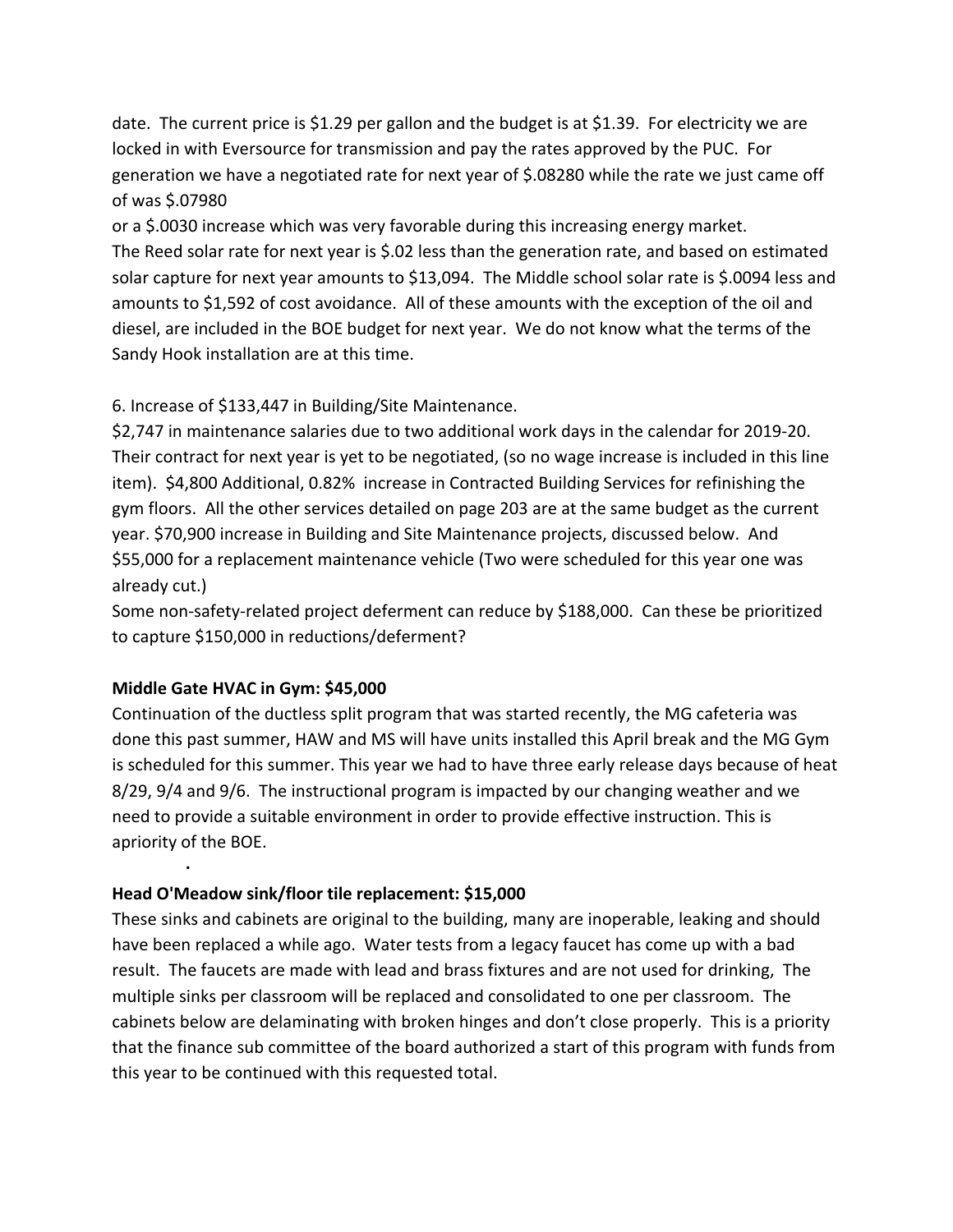date. The current price is \$1.29 per gallon and the budget is at \$1.39. For electricity we are locked in with Eversource for transmission and pay the rates approved by the PUC. For generation we have a negotiated rate for next year of \$.08280 while the rate we just came off of was \$.07980

or a \$.0030 increase which was very favorable during this increasing energy market. The Reed solar rate for next year is \$.02 less than the generation rate, and based on estimated solar capture for next year amounts to \$13,094. The Middle school solar rate is \$.0094 less and amounts to \$1,592 of cost avoidance. All of these amounts with the exception of the oil and diesel, are included in the BOE budget for next year. We do not know what the terms of the Sandy Hook installation are at this time.

6. Increase of \$133,447 in Building/Site Maintenance.

\$2,747 in maintenance salaries due to two additional work days in the calendar for 2019-20. Their contract for next year is yet to be negotiated, (so no wage increase is included in this line item). \$4,800 Additional, 0.82% increase in Contracted Building Services for refinishing the gym floors. All the other services detailed on page 203 are at the same budget as the current year. \$70,900 increase in Building and Site Maintenance projects, discussed below. And \$55,000 for a replacement maintenance vehicle (Two were scheduled for this year one was already cut.)

Some non-safety-related project deferment can reduce by \$188,000. Can these be prioritized to capture \$150,000 in reductions/deferment?

### **Middle Gate HVAC in Gym: \$45,000**

**·**

Continuation of the ductless split program that was started recently, the MG cafeteria was done this past summer, HAW and MS will have units installed this April break and the MG Gym is scheduled for this summer. This year we had to have three early release days because of heat 8/29, 9/4 and 9/6. The instructional program is impacted by our changing weather and we need to provide a suitable environment in order to provide effective instruction. This is apriority of the BOE.

### **Head O'Meadow sink/floor tile replacement: \$15,000**

These sinks and cabinets are original to the building, many are inoperable, leaking and should have been replaced a while ago. Water tests from a legacy faucet has come up with a bad result. The faucets are made with lead and brass fixtures and are not used for drinking, The multiple sinks per classroom will be replaced and consolidated to one per classroom. The cabinets below are delaminating with broken hinges and don't close properly. This is a priority that the finance sub committee of the board authorized a start of this program with funds from this year to be continued with this requested total.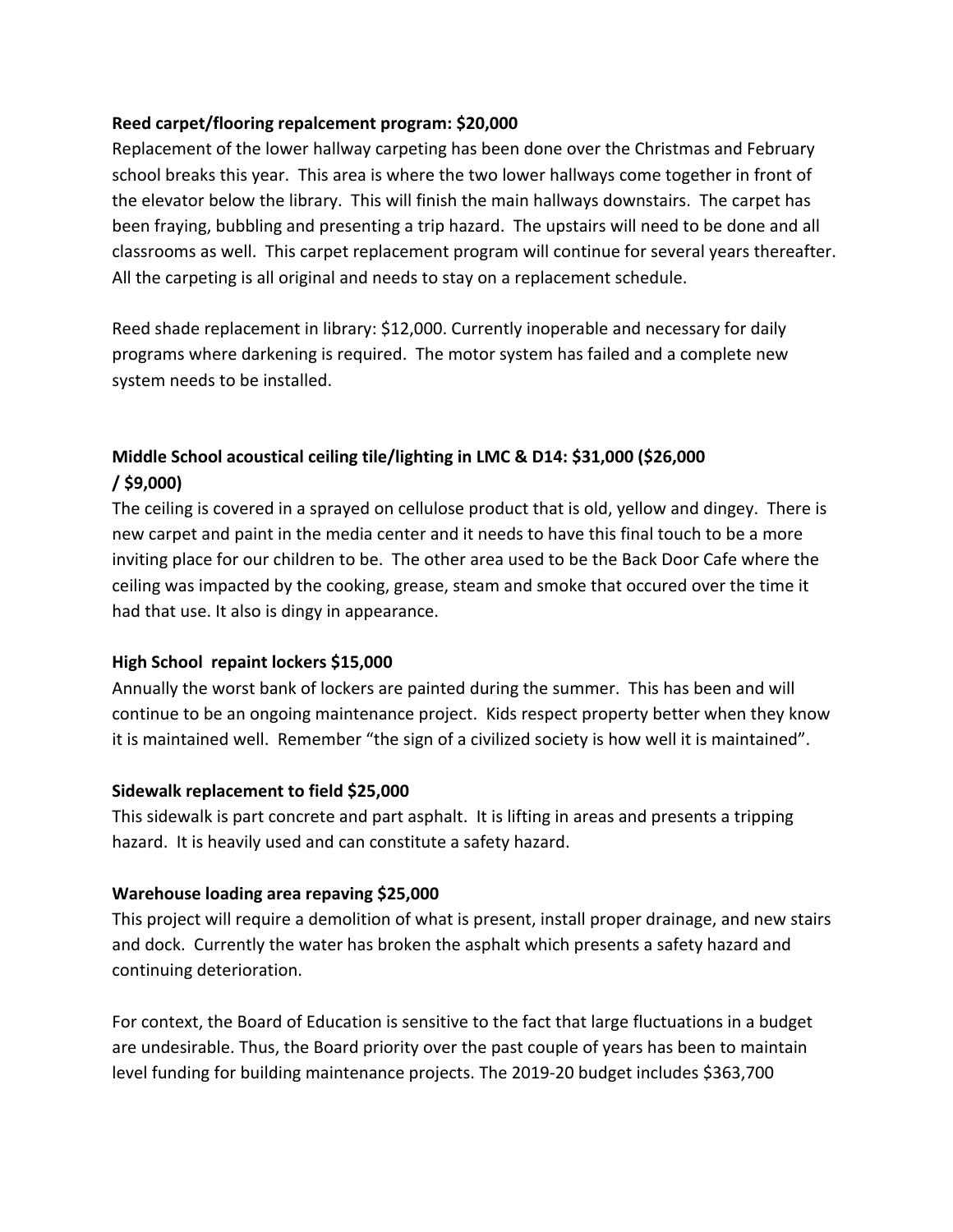#### **Reed carpet/flooring repalcement program: \$20,000**

Replacement of the lower hallway carpeting has been done over the Christmas and February school breaks this year. This area is where the two lower hallways come together in front of the elevator below the library. This will finish the main hallways downstairs. The carpet has been fraying, bubbling and presenting a trip hazard. The upstairs will need to be done and all classrooms as well. This carpet replacement program will continue for several years thereafter. All the carpeting is all original and needs to stay on a replacement schedule.

Reed shade replacement in library: \$12,000. Currently inoperable and necessary for daily programs where darkening is required. The motor system has failed and a complete new system needs to be installed.

# **Middle School acoustical ceiling tile/lighting in LMC & D14: \$31,000 (\$26,000 / \$9,000)**

The ceiling is covered in a sprayed on cellulose product that is old, yellow and dingey. There is new carpet and paint in the media center and it needs to have this final touch to be a more inviting place for our children to be. The other area used to be the Back Door Cafe where the ceiling was impacted by the cooking, grease, steam and smoke that occured over the time it had that use. It also is dingy in appearance.

### **High School repaint lockers \$15,000**

Annually the worst bank of lockers are painted during the summer. This has been and will continue to be an ongoing maintenance project. Kids respect property better when they know it is maintained well. Remember "the sign of a civilized society is how well it is maintained".

#### **Sidewalk replacement to field \$25,000**

This sidewalk is part concrete and part asphalt. It is lifting in areas and presents a tripping hazard. It is heavily used and can constitute a safety hazard.

### **Warehouse loading area repaving \$25,000**

This project will require a demolition of what is present, install proper drainage, and new stairs and dock. Currently the water has broken the asphalt which presents a safety hazard and continuing deterioration.

For context, the Board of Education is sensitive to the fact that large fluctuations in a budget are undesirable. Thus, the Board priority over the past couple of years has been to maintain level funding for building maintenance projects. The 2019-20 budget includes \$363,700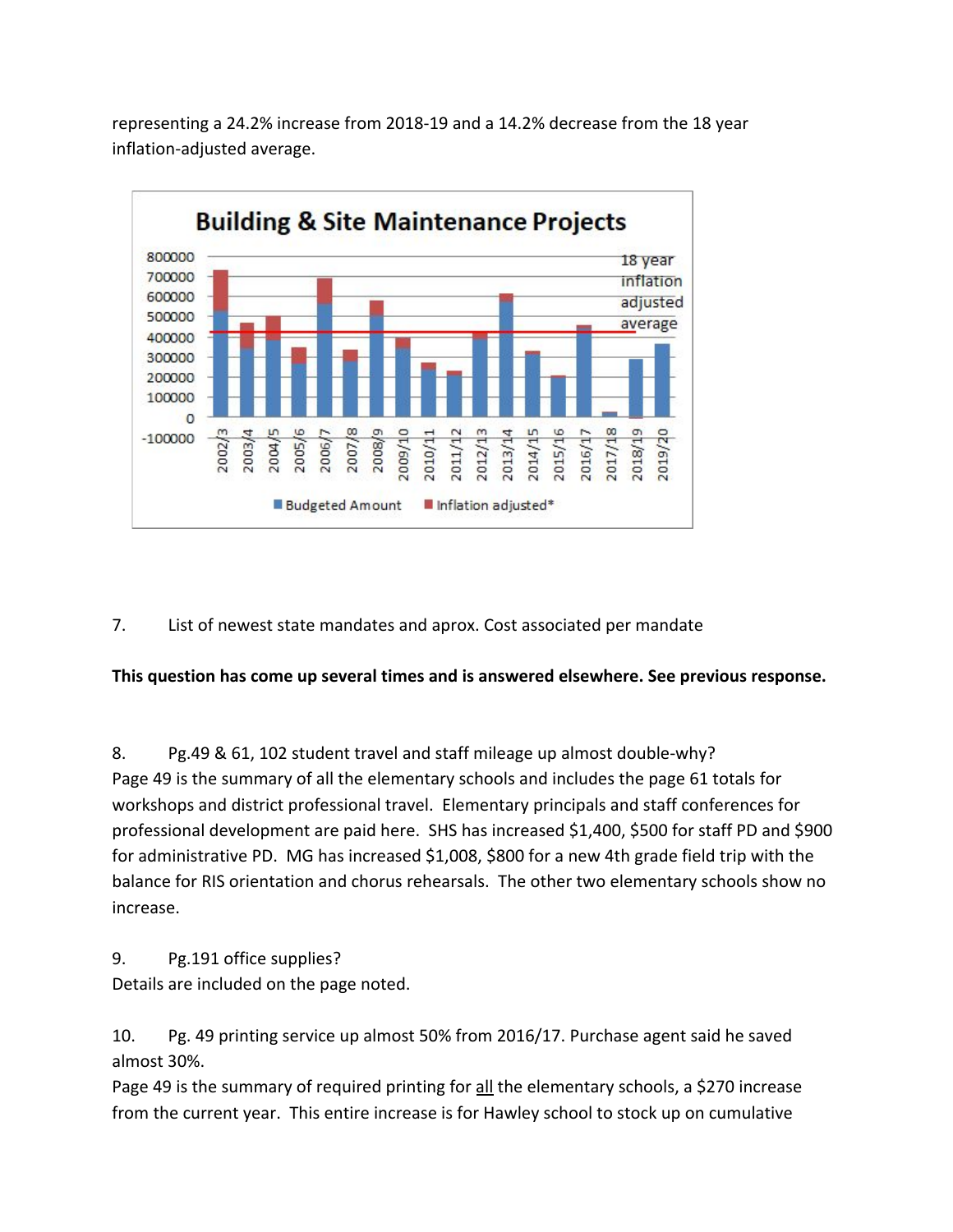

representing a 24.2% increase from 2018-19 and a 14.2% decrease from the 18 year inflation-adjusted average.

7. List of newest state mandates and aprox. Cost associated per mandate

**This question has come up several times and is answered elsewhere. See previous response.**

8. Pg.49 & 61, 102 student travel and staff mileage up almost double-why? Page 49 is the summary of all the elementary schools and includes the page 61 totals for workshops and district professional travel. Elementary principals and staff conferences for professional development are paid here. SHS has increased \$1,400, \$500 for staff PD and \$900 for administrative PD. MG has increased \$1,008, \$800 for a new 4th grade field trip with the balance for RIS orientation and chorus rehearsals. The other two elementary schools show no increase.

9. Pg.191 office supplies?

Details are included on the page noted.

10. Pg. 49 printing service up almost 50% from 2016/17. Purchase agent said he saved almost 30%.

Page 49 is the summary of required printing for all the elementary schools, a \$270 increase from the current year. This entire increase is for Hawley school to stock up on cumulative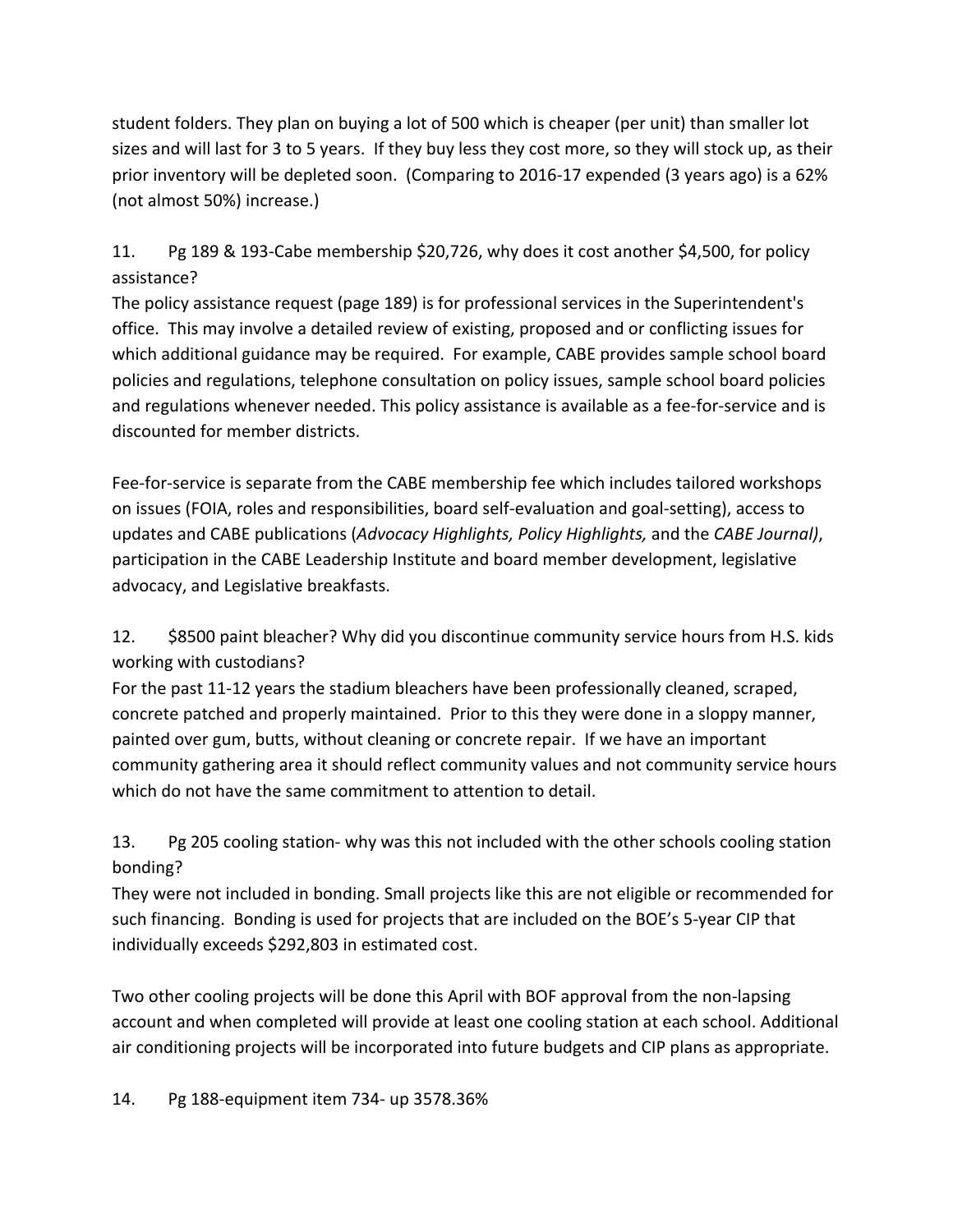student folders. They plan on buying a lot of 500 which is cheaper (per unit) than smaller lot sizes and will last for 3 to 5 years. If they buy less they cost more, so they will stock up, as their prior inventory will be depleted soon. (Comparing to 2016-17 expended (3 years ago) is a 62% (not almost 50%) increase.)

11. Pg 189 & 193-Cabe membership \$20,726, why does it cost another \$4,500, for policy assistance?

The policy assistance request (page 189) is for professional services in the Superintendent's office. This may involve a detailed review of existing, proposed and or conflicting issues for which additional guidance may be required. For example, CABE provides sample school board policies and regulations, telephone consultation on policy issues, sample school board policies and regulations whenever needed. This policy assistance is available as a fee-for-service and is discounted for member districts.

Fee-for-service is separate from the CABE membership fee which includes tailored workshops on issues (FOIA, roles and responsibilities, board self-evaluation and goal-setting), access to updates and CABE publications (*Advocacy Highlights, Policy Highlights,* and the *CABE Journal)*, participation in the CABE Leadership Institute and board member development, legislative advocacy, and Legislative breakfasts.

12. \$8500 paint bleacher? Why did you discontinue community service hours from H.S. kids working with custodians?

For the past 11-12 years the stadium bleachers have been professionally cleaned, scraped, concrete patched and properly maintained. Prior to this they were done in a sloppy manner, painted over gum, butts, without cleaning or concrete repair. If we have an important community gathering area it should reflect community values and not community service hours which do not have the same commitment to attention to detail.

13. Pg 205 cooling station- why was this not included with the other schools cooling station bonding?

They were not included in bonding. Small projects like this are not eligible or recommended for such financing. Bonding is used for projects that are included on the BOE's 5-year CIP that individually exceeds \$292,803 in estimated cost.

Two other cooling projects will be done this April with BOF approval from the non-lapsing account and when completed will provide at least one cooling station at each school. Additional air conditioning projects will be incorporated into future budgets and CIP plans as appropriate.

14. Pg 188-equipment item 734- up 3578.36%